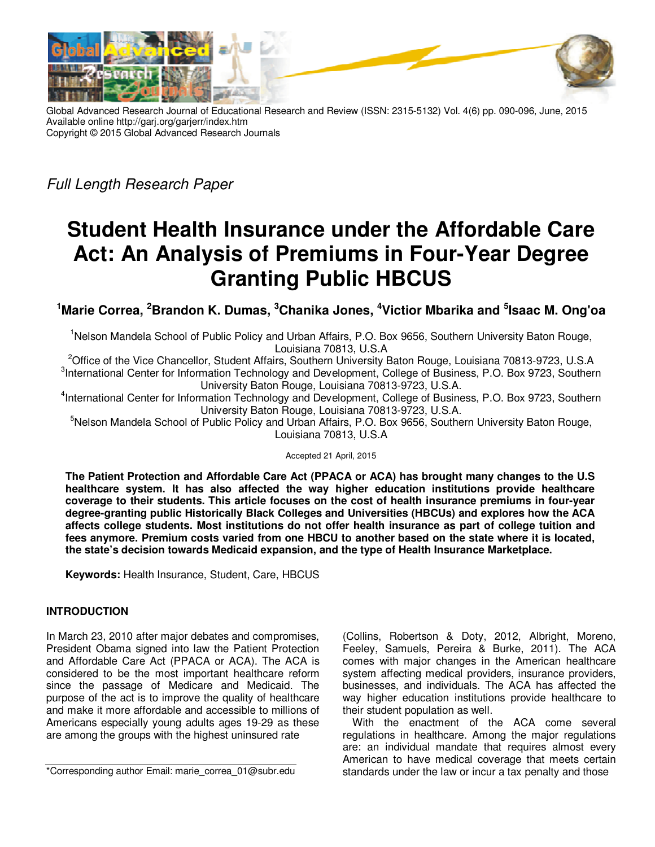

Global Advanced Research Journal of Educational Research and Review (ISSN: 2315-5132) Vol. 4(6) pp. 090-096, June, 2015 Available online http://garj.org/garjerr/index.htm Copyright © 2015 Global Advanced Research Journals

Full Length Research Paper

# **Student Health Insurance under the Affordable Care Act: An Analysis of Premiums in Four-Year Degree Granting Public HBCUS**

# **<sup>1</sup>Marie Correa, <sup>2</sup>Brandon K. Dumas, <sup>3</sup>Chanika Jones, <sup>4</sup>Victior Mbarika and <sup>5</sup> Isaac M. Ong'oa**

<sup>1</sup>Nelson Mandela School of Public Policy and Urban Affairs, P.O. Box 9656, Southern University Baton Rouge, Louisiana 70813, U.S.A

<sup>2</sup>Office of the Vice Chancellor, Student Affairs, Southern University Baton Rouge, Louisiana 70813-9723, U.S.A <sup>3</sup>International Center for Information Technology and Development, College of Business, P.O. Box 9723, Southern University Baton Rouge, Louisiana 70813-9723, U.S.A.

4 International Center for Information Technology and Development, College of Business, P.O. Box 9723, Southern University Baton Rouge, Louisiana 70813-9723, U.S.A.

<sup>5</sup>Nelson Mandela School of Public Policy and Urban Affairs, P.O. Box 9656, Southern University Baton Rouge, Louisiana 70813, U.S.A

Accepted 21 April, 2015

**The Patient Protection and Affordable Care Act (PPACA or ACA) has brought many changes to the U.S healthcare system. It has also affected the way higher education institutions provide healthcare coverage to their students. This article focuses on the cost of health insurance premiums in four-year degree-granting public Historically Black Colleges and Universities (HBCUs) and explores how the ACA affects college students. Most institutions do not offer health insurance as part of college tuition and fees anymore. Premium costs varied from one HBCU to another based on the state where it is located, the state's decision towards Medicaid expansion, and the type of Health Insurance Marketplace.** 

**Keywords:** Health Insurance, Student, Care, HBCUS

## **INTRODUCTION**

In March 23, 2010 after major debates and compromises, President Obama signed into law the Patient Protection and Affordable Care Act (PPACA or ACA). The ACA is considered to be the most important healthcare reform since the passage of Medicare and Medicaid. The purpose of the act is to improve the quality of healthcare and make it more affordable and accessible to millions of Americans especially young adults ages 19-29 as these are among the groups with the highest uninsured rate

(Collins, Robertson & Doty, 2012, Albright, Moreno, Feeley, Samuels, Pereira & Burke, 2011). The ACA comes with major changes in the American healthcare system affecting medical providers, insurance providers, businesses, and individuals. The ACA has affected the way higher education institutions provide healthcare to their student population as well.

With the enactment of the ACA come several regulations in healthcare. Among the major regulations are: an individual mandate that requires almost every American to have medical coverage that meets certain standards under the law or incur a tax penalty and those

<sup>\*</sup>Corresponding author Email: marie\_correa\_01@subr.edu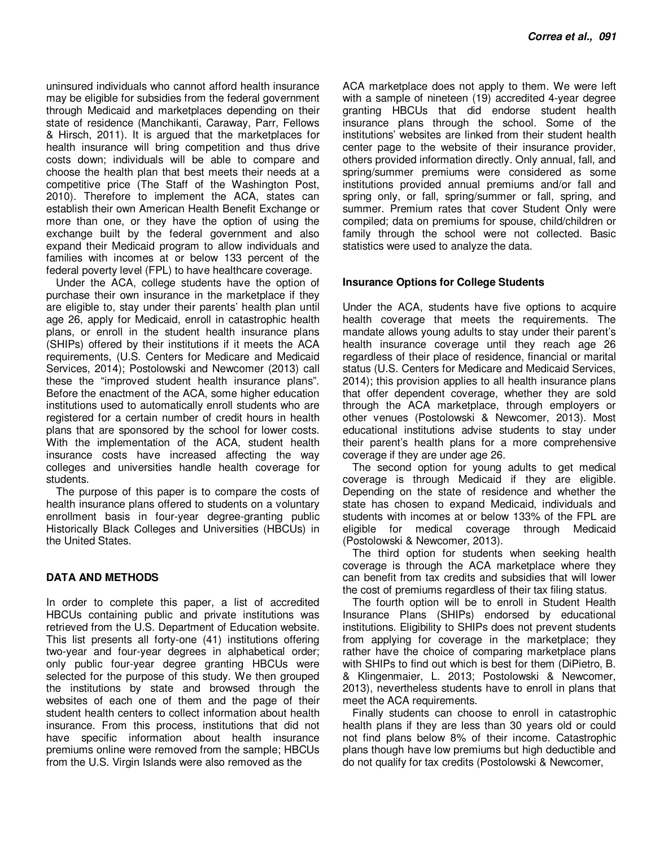uninsured individuals who cannot afford health insurance may be eligible for subsidies from the federal government through Medicaid and marketplaces depending on their state of residence (Manchikanti, Caraway, Parr, Fellows & Hirsch, 2011). It is argued that the marketplaces for health insurance will bring competition and thus drive costs down; individuals will be able to compare and choose the health plan that best meets their needs at a competitive price (The Staff of the Washington Post, 2010). Therefore to implement the ACA, states can establish their own American Health Benefit Exchange or more than one, or they have the option of using the exchange built by the federal government and also expand their Medicaid program to allow individuals and families with incomes at or below 133 percent of the federal poverty level (FPL) to have healthcare coverage.

Under the ACA, college students have the option of purchase their own insurance in the marketplace if they are eligible to, stay under their parents' health plan until age 26, apply for Medicaid, enroll in catastrophic health plans, or enroll in the student health insurance plans (SHIPs) offered by their institutions if it meets the ACA requirements, (U.S. Centers for Medicare and Medicaid Services, 2014); Postolowski and Newcomer (2013) call these the "improved student health insurance plans". Before the enactment of the ACA, some higher education institutions used to automatically enroll students who are registered for a certain number of credit hours in health plans that are sponsored by the school for lower costs. With the implementation of the ACA, student health insurance costs have increased affecting the way colleges and universities handle health coverage for students.

The purpose of this paper is to compare the costs of health insurance plans offered to students on a voluntary enrollment basis in four-year degree-granting public Historically Black Colleges and Universities (HBCUs) in the United States.

## **DATA AND METHODS**

In order to complete this paper, a list of accredited HBCUs containing public and private institutions was retrieved from the U.S. Department of Education website. This list presents all forty-one (41) institutions offering two-year and four-year degrees in alphabetical order; only public four-year degree granting HBCUs were selected for the purpose of this study. We then grouped the institutions by state and browsed through the websites of each one of them and the page of their student health centers to collect information about health insurance. From this process, institutions that did not have specific information about health insurance premiums online were removed from the sample; HBCUs from the U.S. Virgin Islands were also removed as the

ACA marketplace does not apply to them. We were left with a sample of nineteen (19) accredited 4-year degree granting HBCUs that did endorse student health insurance plans through the school. Some of the institutions' websites are linked from their student health center page to the website of their insurance provider, others provided information directly. Only annual, fall, and spring/summer premiums were considered as some institutions provided annual premiums and/or fall and spring only, or fall, spring/summer or fall, spring, and summer. Premium rates that cover Student Only were compiled; data on premiums for spouse, child/children or family through the school were not collected. Basic statistics were used to analyze the data.

#### **Insurance Options for College Students**

Under the ACA, students have five options to acquire health coverage that meets the requirements. The mandate allows young adults to stay under their parent's health insurance coverage until they reach age 26 regardless of their place of residence, financial or marital status (U.S. Centers for Medicare and Medicaid Services, 2014); this provision applies to all health insurance plans that offer dependent coverage, whether they are sold through the ACA marketplace, through employers or other venues (Postolowski & Newcomer, 2013). Most educational institutions advise students to stay under their parent's health plans for a more comprehensive coverage if they are under age 26.

The second option for young adults to get medical coverage is through Medicaid if they are eligible. Depending on the state of residence and whether the state has chosen to expand Medicaid, individuals and students with incomes at or below 133% of the FPL are eligible for medical coverage through Medicaid (Postolowski & Newcomer, 2013).

The third option for students when seeking health coverage is through the ACA marketplace where they can benefit from tax credits and subsidies that will lower the cost of premiums regardless of their tax filing status.

The fourth option will be to enroll in Student Health Insurance Plans (SHIPs) endorsed by educational institutions. Eligibility to SHIPs does not prevent students from applying for coverage in the marketplace; they rather have the choice of comparing marketplace plans with SHIPs to find out which is best for them (DiPietro, B. & Klingenmaier, L. 2013; Postolowski & Newcomer, 2013), nevertheless students have to enroll in plans that meet the ACA requirements.

Finally students can choose to enroll in catastrophic health plans if they are less than 30 years old or could not find plans below 8% of their income. Catastrophic plans though have low premiums but high deductible and do not qualify for tax credits (Postolowski & Newcomer,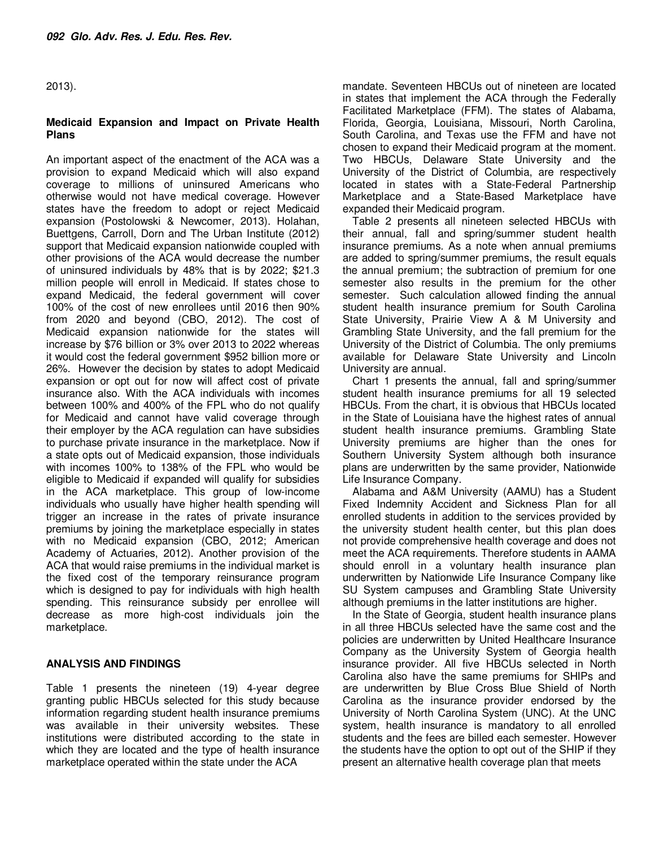2013).

#### **Medicaid Expansion and Impact on Private Health Plans**

An important aspect of the enactment of the ACA was a provision to expand Medicaid which will also expand coverage to millions of uninsured Americans who otherwise would not have medical coverage. However states have the freedom to adopt or reject Medicaid expansion (Postolowski & Newcomer, 2013). Holahan, Buettgens, Carroll, Dorn and The Urban Institute (2012) support that Medicaid expansion nationwide coupled with other provisions of the ACA would decrease the number of uninsured individuals by 48% that is by 2022; \$21.3 million people will enroll in Medicaid. If states chose to expand Medicaid, the federal government will cover 100% of the cost of new enrollees until 2016 then 90% from 2020 and beyond (CBO, 2012). The cost of Medicaid expansion nationwide for the states will increase by \$76 billion or 3% over 2013 to 2022 whereas it would cost the federal government \$952 billion more or 26%. However the decision by states to adopt Medicaid expansion or opt out for now will affect cost of private insurance also. With the ACA individuals with incomes between 100% and 400% of the FPL who do not qualify for Medicaid and cannot have valid coverage through their employer by the ACA regulation can have subsidies to purchase private insurance in the marketplace. Now if a state opts out of Medicaid expansion, those individuals with incomes 100% to 138% of the FPL who would be eligible to Medicaid if expanded will qualify for subsidies in the ACA marketplace. This group of low-income individuals who usually have higher health spending will trigger an increase in the rates of private insurance premiums by joining the marketplace especially in states with no Medicaid expansion (CBO, 2012; American Academy of Actuaries, 2012). Another provision of the ACA that would raise premiums in the individual market is the fixed cost of the temporary reinsurance program which is designed to pay for individuals with high health spending. This reinsurance subsidy per enrollee will decrease as more high-cost individuals join the marketplace.

#### **ANALYSIS AND FINDINGS**

Table 1 presents the nineteen (19) 4-year degree granting public HBCUs selected for this study because information regarding student health insurance premiums was available in their university websites. These institutions were distributed according to the state in which they are located and the type of health insurance marketplace operated within the state under the ACA

mandate. Seventeen HBCUs out of nineteen are located in states that implement the ACA through the Federally Facilitated Marketplace (FFM). The states of Alabama, Florida, Georgia, Louisiana, Missouri, North Carolina, South Carolina, and Texas use the FFM and have not chosen to expand their Medicaid program at the moment. Two HBCUs, Delaware State University and the University of the District of Columbia, are respectively located in states with a State-Federal Partnership Marketplace and a State-Based Marketplace have expanded their Medicaid program.

Table 2 presents all nineteen selected HBCUs with their annual, fall and spring/summer student health insurance premiums. As a note when annual premiums are added to spring/summer premiums, the result equals the annual premium; the subtraction of premium for one semester also results in the premium for the other semester. Such calculation allowed finding the annual student health insurance premium for South Carolina State University, Prairie View A & M University and Grambling State University, and the fall premium for the University of the District of Columbia. The only premiums available for Delaware State University and Lincoln University are annual.

Chart 1 presents the annual, fall and spring/summer student health insurance premiums for all 19 selected HBCUs. From the chart, it is obvious that HBCUs located in the State of Louisiana have the highest rates of annual student health insurance premiums. Grambling State University premiums are higher than the ones for Southern University System although both insurance plans are underwritten by the same provider, Nationwide Life Insurance Company.

Alabama and A&M University (AAMU) has a Student Fixed Indemnity Accident and Sickness Plan for all enrolled students in addition to the services provided by the university student health center, but this plan does not provide comprehensive health coverage and does not meet the ACA requirements. Therefore students in AAMA should enroll in a voluntary health insurance plan underwritten by Nationwide Life Insurance Company like SU System campuses and Grambling State University although premiums in the latter institutions are higher.

In the State of Georgia, student health insurance plans in all three HBCUs selected have the same cost and the policies are underwritten by United Healthcare Insurance Company as the University System of Georgia health insurance provider. All five HBCUs selected in North Carolina also have the same premiums for SHIPs and are underwritten by Blue Cross Blue Shield of North Carolina as the insurance provider endorsed by the University of North Carolina System (UNC). At the UNC system, health insurance is mandatory to all enrolled students and the fees are billed each semester. However the students have the option to opt out of the SHIP if they present an alternative health coverage plan that meets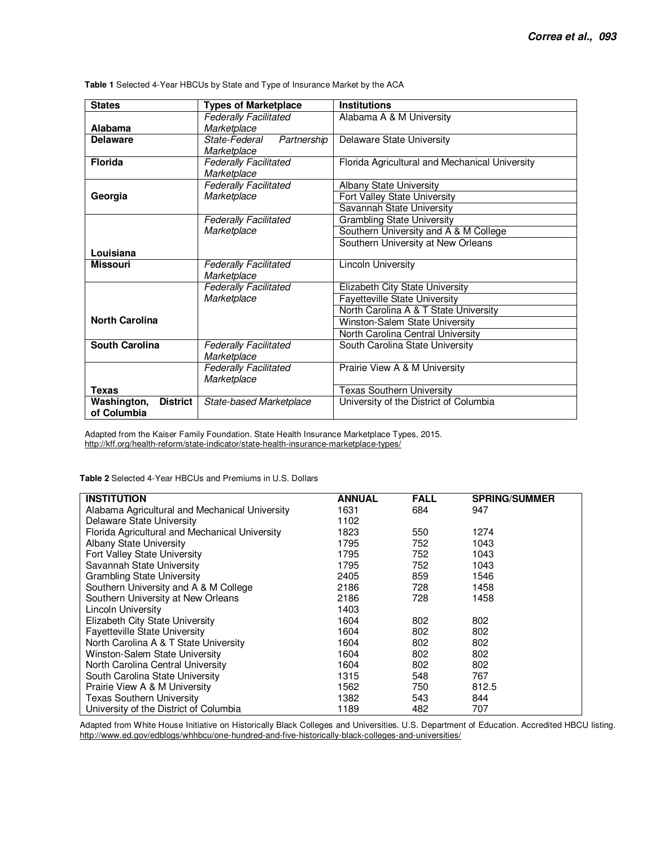| <b>States</b>                                 | <b>Types of Marketplace</b>  | <b>Institutions</b>                            |  |  |
|-----------------------------------------------|------------------------------|------------------------------------------------|--|--|
|                                               | <b>Federally Facilitated</b> | Alabama A & M University                       |  |  |
| Alabama                                       | Marketplace                  |                                                |  |  |
| <b>Delaware</b>                               | State-Federal<br>Partnership | <b>Delaware State University</b>               |  |  |
|                                               | Marketplace                  |                                                |  |  |
| <b>Florida</b>                                | <b>Federally Facilitated</b> | Florida Agricultural and Mechanical University |  |  |
|                                               | Marketplace                  |                                                |  |  |
|                                               | <b>Federally Facilitated</b> | Albany State University                        |  |  |
| Georgia                                       | Marketplace                  | Fort Valley State University                   |  |  |
|                                               |                              | Savannah State University                      |  |  |
|                                               | <b>Federally Facilitated</b> | <b>Grambling State University</b>              |  |  |
|                                               | Marketplace                  | Southern University and A & M College          |  |  |
|                                               |                              | Southern University at New Orleans             |  |  |
| Louisiana                                     |                              |                                                |  |  |
| <b>Missouri</b>                               | <b>Federally Facilitated</b> | <b>Lincoln University</b>                      |  |  |
|                                               | Marketplace                  |                                                |  |  |
|                                               | <b>Federally Facilitated</b> | Elizabeth City State University                |  |  |
|                                               | Marketplace                  | <b>Fayetteville State University</b>           |  |  |
|                                               |                              | North Carolina A & T State University          |  |  |
| <b>North Carolina</b>                         |                              | Winston-Salem State University                 |  |  |
|                                               |                              | North Carolina Central University              |  |  |
| South Carolina                                | <b>Federally Facilitated</b> | South Carolina State University                |  |  |
|                                               | Marketplace                  |                                                |  |  |
|                                               | <b>Federally Facilitated</b> | Prairie View A & M University                  |  |  |
|                                               | Marketplace                  |                                                |  |  |
| Texas                                         |                              | <b>Texas Southern University</b>               |  |  |
| <b>District</b><br>Washington,<br>of Columbia | State-based Marketplace      | University of the District of Columbia         |  |  |

**Table 1** Selected 4-Year HBCUs by State and Type of Insurance Market by the ACA

Adapted from the Kaiser Family Foundation. State Health Insurance Marketplace Types, 2015. http://kff.org/health-reform/state-indicator/state-health-insurance-marketplace-types/

**Table 2** Selected 4-Year HBCUs and Premiums in U.S. Dollars

| <b>INSTITUTION</b>                             | <b>ANNUAL</b> | <b>FALL</b> | <b>SPRING/SUMMER</b> |
|------------------------------------------------|---------------|-------------|----------------------|
| Alabama Agricultural and Mechanical University | 1631          | 684         | 947                  |
| Delaware State University                      | 1102          |             |                      |
| Florida Agricultural and Mechanical University | 1823          | 550         | 1274                 |
| <b>Albany State University</b>                 | 1795          | 752         | 1043                 |
| Fort Valley State University                   | 1795          | 752         | 1043                 |
| Savannah State University                      | 1795          | 752         | 1043                 |
| <b>Grambling State University</b>              | 2405          | 859         | 1546                 |
| Southern University and A & M College          | 2186          | 728         | 1458                 |
| Southern University at New Orleans             | 2186          | 728         | 1458                 |
| Lincoln University                             | 1403          |             |                      |
| Elizabeth City State University                | 1604          | 802         | 802                  |
| <b>Fayetteville State University</b>           | 1604          | 802         | 802                  |
| North Carolina A & T State University          | 1604          | 802         | 802                  |
| Winston-Salem State University                 | 1604          | 802         | 802                  |
| North Carolina Central University              | 1604          | 802         | 802                  |
| South Carolina State University                | 1315          | 548         | 767                  |
| Prairie View A & M University                  | 1562          | 750         | 812.5                |
| <b>Texas Southern University</b>               | 1382          | 543         | 844                  |
| University of the District of Columbia         | 1189          | 482         | 707                  |

Adapted from White House Initiative on Historically Black Colleges and Universities. U.S. Department of Education. Accredited HBCU listing. http://www.ed.gov/edblogs/whhbcu/one-hundred-and-five-historically-black-colleges-and-universities/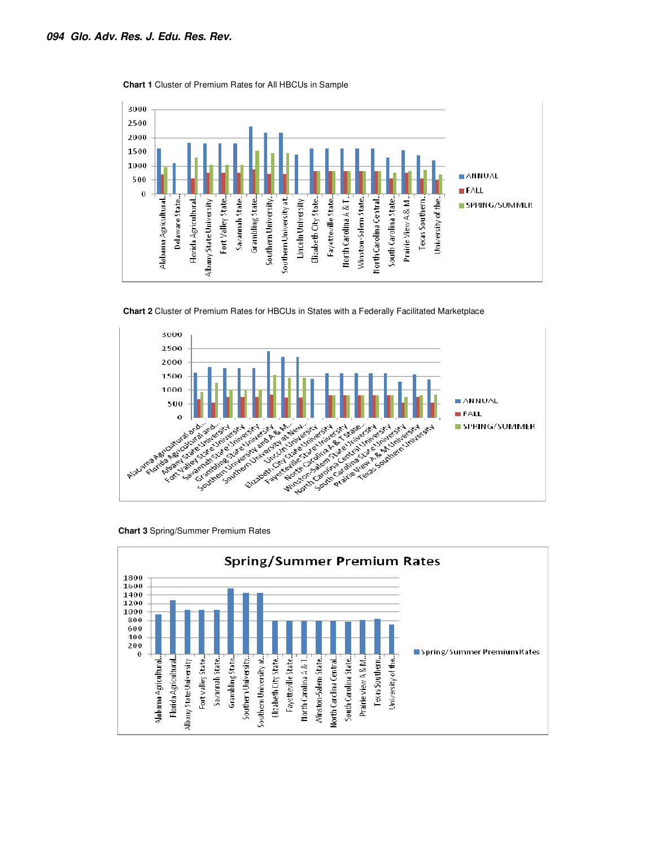

**Chart 1** Cluster of Premium Rates for All HBCUs in Sample







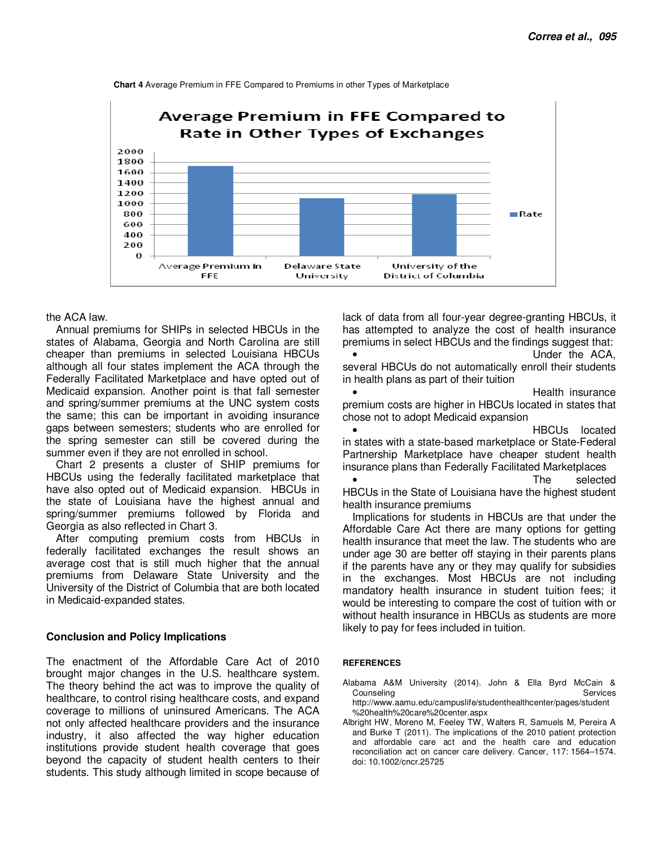

**Chart 4** Average Premium in FFE Compared to Premiums in other Types of Marketplace

#### the ACA law.

Annual premiums for SHIPs in selected HBCUs in the states of Alabama, Georgia and North Carolina are still cheaper than premiums in selected Louisiana HBCUs although all four states implement the ACA through the Federally Facilitated Marketplace and have opted out of Medicaid expansion. Another point is that fall semester and spring/summer premiums at the UNC system costs the same; this can be important in avoiding insurance gaps between semesters; students who are enrolled for the spring semester can still be covered during the summer even if they are not enrolled in school.

Chart 2 presents a cluster of SHIP premiums for HBCUs using the federally facilitated marketplace that have also opted out of Medicaid expansion. HBCUs in the state of Louisiana have the highest annual and spring/summer premiums followed by Florida and Georgia as also reflected in Chart 3.

After computing premium costs from HBCUs in federally facilitated exchanges the result shows an average cost that is still much higher that the annual premiums from Delaware State University and the University of the District of Columbia that are both located in Medicaid-expanded states.

#### **Conclusion and Policy Implications**

The enactment of the Affordable Care Act of 2010 brought major changes in the U.S. healthcare system. The theory behind the act was to improve the quality of healthcare, to control rising healthcare costs, and expand coverage to millions of uninsured Americans. The ACA not only affected healthcare providers and the insurance industry, it also affected the way higher education institutions provide student health coverage that goes beyond the capacity of student health centers to their students. This study although limited in scope because of

lack of data from all four-year degree-granting HBCUs, it has attempted to analyze the cost of health insurance premiums in select HBCUs and the findings suggest that:

Under the ACA. several HBCUs do not automatically enroll their students in health plans as part of their tuition

• Health insurance premium costs are higher in HBCUs located in states that chose not to adopt Medicaid expansion

• HBCUs located in states with a state-based marketplace or State-Federal Partnership Marketplace have cheaper student health insurance plans than Federally Facilitated Marketplaces

• The selected HBCUs in the State of Louisiana have the highest student health insurance premiums

Implications for students in HBCUs are that under the Affordable Care Act there are many options for getting health insurance that meet the law. The students who are under age 30 are better off staying in their parents plans if the parents have any or they may qualify for subsidies in the exchanges. Most HBCUs are not including mandatory health insurance in student tuition fees; it would be interesting to compare the cost of tuition with or without health insurance in HBCUs as students are more likely to pay for fees included in tuition.

#### **REFERENCES**

doi: 10.1002/cncr.25725

- Alabama A&M University (2014). John & Ella Byrd McCain & Counseling **Services** Services **Services** Services http://www.aamu.edu/campuslife/studenthealthcenter/pages/student
- %20health%20care%20center.aspx Albright HW, Moreno M, Feeley TW, Walters R, Samuels M, Pereira A and Burke T (2011). The implications of the 2010 patient protection and affordable care act and the health care and education reconciliation act on cancer care delivery. Cancer, 117: 1564–1574.